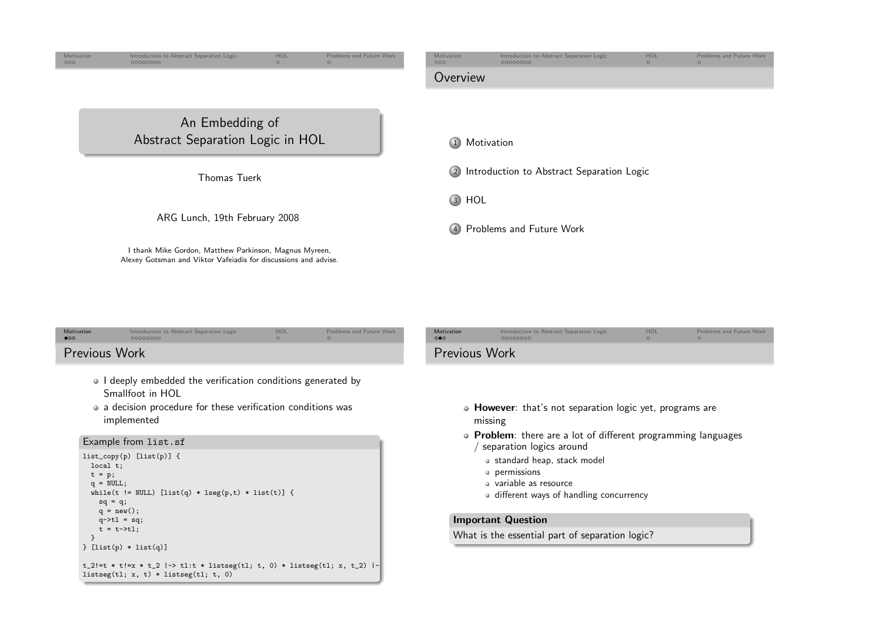<span id="page-0-0"></span>

| Motivation<br>$\bullet$                                                                                                                                                                 | Introduction to Abstract Separation Logic<br>00000000                                                                     | HOL<br>$\circ$ | Problems and Future Work<br>$\Omega$                                                                                | Motivation<br>$\circ \bullet \circ$ | Introduction to Abstract Separation Logic<br>00000000 | HOL<br>$\Omega$ | Problems and Future Work<br>$\Omega$ |
|-----------------------------------------------------------------------------------------------------------------------------------------------------------------------------------------|---------------------------------------------------------------------------------------------------------------------------|----------------|---------------------------------------------------------------------------------------------------------------------|-------------------------------------|-------------------------------------------------------|-----------------|--------------------------------------|
| Previous Work                                                                                                                                                                           |                                                                                                                           |                | <b>Previous Work</b>                                                                                                |                                     |                                                       |                 |                                      |
| • I deeply embedded the verification conditions generated by<br>Smallfoot in HOL<br>• a decision procedure for these verification conditions was<br>implemented<br>Example from list.sf |                                                                                                                           |                | • <b>However</b> : that's not separation logic yet, programs are<br>missing                                         |                                     |                                                       |                 |                                      |
|                                                                                                                                                                                         |                                                                                                                           |                | • Problem: there are a lot of different programming languages<br>separation logics around                           |                                     |                                                       |                 |                                      |
|                                                                                                                                                                                         | $list_{copy(p)} [list(p)]$ {<br>local t;<br>$t = p;$<br>$q = NULL;$<br>while(t != NULL) [list(q) * lseg(p,t) * list(t)] { |                | • standard heap, stack model<br>• permissions<br>· variable as resource<br>• different ways of handling concurrency |                                     |                                                       |                 |                                      |

 $sq = q;$  $q = new();$  $q$ ->tl = sq;  $t = t - \geq t$ l;

} [list(p) \* list(q)]

listseg(tl; x, t) \* listseg(tl; t, 0)

t\_2!=t \* t!=x \* t\_2 |-> tl:t \* listseg(tl; t, 0) \* listseg(tl; x, t\_2) |-

}

#### Important Question

What is the essential part of separation logic?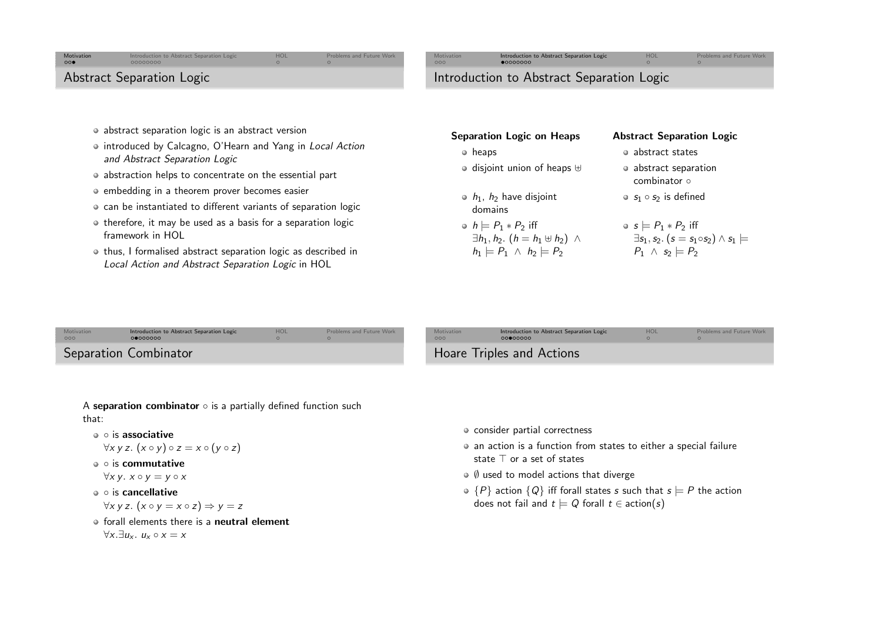## <span id="page-1-0"></span>[Motivation](#page-0-0)<br>000

 Introduction to Abstract [Separation](#page-1-0) Logic [HOL](#page-3-0)[Problems](#page-3-0) and Future Work

[Motivation](#page-0-0)<br>000

# Introduction to Abstract [Separation](#page-1-0) Logic [HOL](#page-3-0)Introduction to Abstract Separation Logic

[Problems](#page-3-0) and Future Work

Abstract Separation Logic

- abstract separation logic is an abstract version
- introduced by Calcagno, O'Hearn and Yang in Local Action and Abstract Separation Logic
- abstraction helps to concentrate on the essential part
- embedding in a theorem prover becomes easier
- can be instantiated to different variants of separation logic
- o therefore, it may be used as a basis for a separation logic framework in HOL
- $\bullet$  thus, I formalised abstract separation logic as described in Local Action and Abstract Separation Logic in HOL

| <b>Separation Logic on Heaps</b>                                                                                              | <b>Abstract Separation Logic</b>                                                                                                        |  |  |
|-------------------------------------------------------------------------------------------------------------------------------|-----------------------------------------------------------------------------------------------------------------------------------------|--|--|
| heaps<br>۰                                                                                                                    | • abstract states                                                                                                                       |  |  |
| $\circ$ disjoint union of heaps $\uplus$                                                                                      | • abstract separation<br>combinator o                                                                                                   |  |  |
| $\bullet$ $h_1$ , $h_2$ have disjoint<br>domains                                                                              | $\bullet$ $s_1 \circ s_2$ is defined                                                                                                    |  |  |
| • $h \models P_1 * P_2$ iff<br>$\exists h_1, h_2.$ $(h = h_1 \oplus h_2)$ $\wedge$<br>$h_1 \models P_1 \land h_2 \models P_2$ | $\bullet$ s $\models$ $P_1 * P_2$ iff<br>$\exists s_1, s_2.$ $(s = s_1 \circ s_2) \wedge s_1$ $\models$<br>$P_1 \wedge s_2 \models P_2$ |  |  |

A **separation combinator**  $\circ$  is a partially defined function such that:

- is associative
- $\forall x \ y \ z. (x \circ y) \circ z = x \circ (y \circ z)$ ◦ is commutative

$$
\forall x\,y.\; x\circ y=y\circ x
$$

⊽*x y. x* ∘ *y = y* ∘ *x*<br>∘ is <mark>cancellative</mark>

$$
\forall x \, y \, z. \, (x \circ y = x \circ z) \Rightarrow y = z
$$

forall elements there is a **neutral element**  $\forall x. \exists u_x. u_x \circ x = x$ 

- consider partial correctness
- an action is <sup>a</sup> function from states to either <sup>a</sup> special failurestate <sup>⊤</sup> or <sup>a</sup> set of states
- $\emptyset$  used to model actions that diverge
- $\{P\}$  action  $\{Q\}$  iff forall states s such that  $s \models P$  the action does not fail and  $t \models Q$  forall  $t \in \text{action}(s)$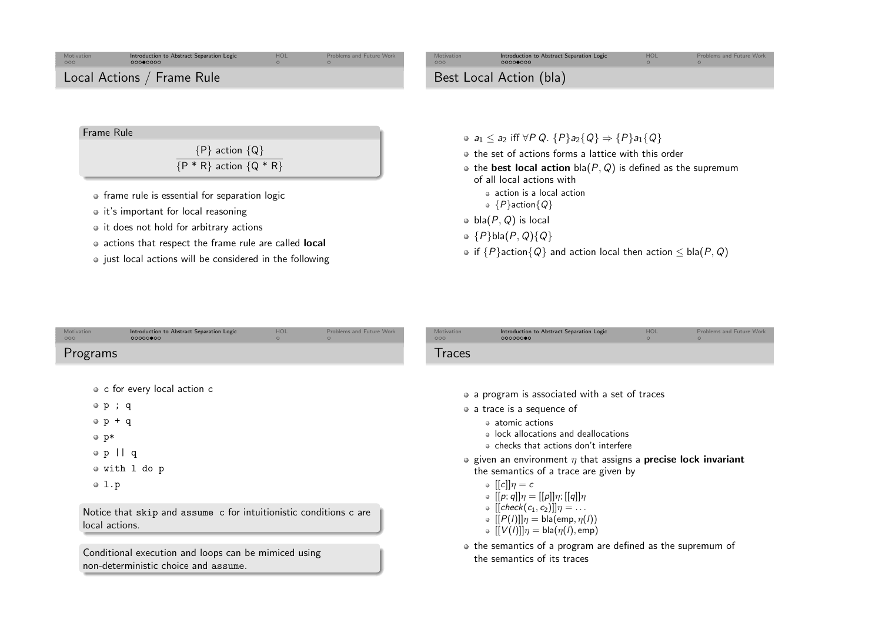

| Motivation<br>000                                         | Introduction to Abstract Separation Logic<br>00000000                                                                                                             | HOL<br>$\circ$ | <b>Problems and Future Work</b> | Motivation<br>000 | Introduction to Abstract Separation Logic<br>00000000                                                                                                                                                                                                                                                                                                                  | HOL<br>$\Omega$ | <b>Problems and Future Work</b> |
|-----------------------------------------------------------|-------------------------------------------------------------------------------------------------------------------------------------------------------------------|----------------|---------------------------------|-------------------|------------------------------------------------------------------------------------------------------------------------------------------------------------------------------------------------------------------------------------------------------------------------------------------------------------------------------------------------------------------------|-----------------|---------------------------------|
| Programs                                                  |                                                                                                                                                                   |                |                                 | <b>Traces</b>     |                                                                                                                                                                                                                                                                                                                                                                        |                 |                                 |
| $\circ$ p; q<br>$\circ$ p + q<br>$o$ p*<br>$\circ$ p    q | • c for every local action c<br>• with 1 do p                                                                                                                     |                |                                 |                   | • a program is associated with a set of traces<br>• a trace is a sequence of<br>• atomic actions<br>. lock allocations and deallocations<br>• checks that actions don't interfere<br>• given an environment $\eta$ that assigns a <b>precise lock invariant</b><br>the semantics of a trace are given by                                                               |                 |                                 |
| 0 1.p<br>local actions.                                   | Notice that skip and assume c for intuitionistic conditions c are<br>Conditional execution and loops can be mimiced using<br>non-deterministic choice and assume. |                |                                 |                   | $\circ$ [[c]] $\eta = c$<br>• $[[p; q]]\eta = [[p]]\eta; [[q]]\eta$<br>$\bullet$ [[check(c <sub>1</sub> , c <sub>2</sub> )]] $\eta = \dots$<br>$\bullet$ [[P(l)]] $\eta = \text{bla}(\text{emp}, \eta(l))$<br>$\bullet$ $[[V(I)]]\eta = \text{bla}(\eta(I), \text{emp})$<br>• the semantics of a program are defined as the supremum of<br>the semantics of its traces |                 |                                 |